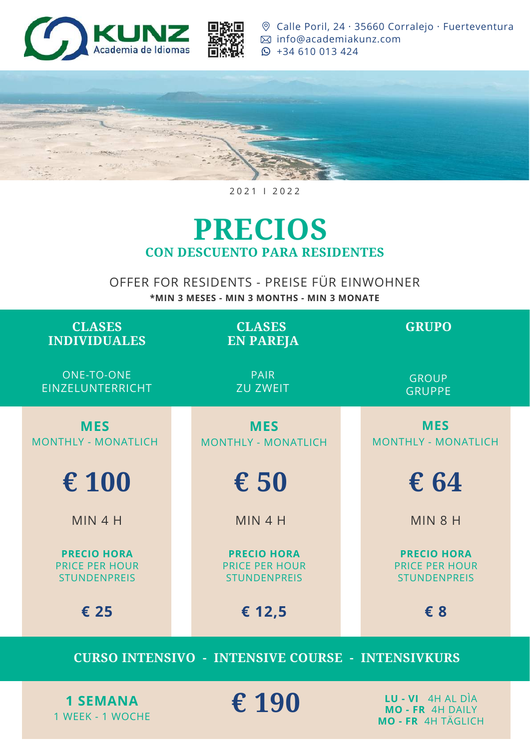**CLASES INDIVIDUALES**

ONE-TO-ONE EINZELUNTERRICHT

## **PRECIOS CON DESCUENTO PARA RESIDENTES**

### OFFER FOR RESIDENTS - PREISE FÜR EINWOHNER

**\*MIN 3 MESES - MIN 3 MONTHS - MIN 3 MONATE**

#### 2 0 2 1 I 2 0 2 2



[C](https://www.google.com/maps/place/Calle+Poril,+24,+35660+Corralejo,+Las+Palmas,+Spain/@28.7420704,-13.8702572,17z)alle Poril, 24 · 35660 Co[r](mailto:info@academiakunz.com)ralejo · [Fuerteventura](https://www.google.com/maps/place/Calle+Poril,+24,+35660+Corralejo,+Las+Palmas,+Spain/@28.7420704,-13.8702572,17z) [info@academiakunz.com](mailto:info@academiakunz.com) [+](tel:+34610013424)34 [610](tel:+34610013424) 013 424



**CLASES EN PAREJA**

> PAIR ZU ZWEIT

**GRUPO**

GROUP GRUPPE

| <b>MES</b><br>MONTHLY - MONATLICH                                  |  | <b>MES</b><br><b>MONTHLY - MONATLICH</b>                           |  | <b>MES</b><br><b>MONTHLY - MONATLICH</b>                           |
|--------------------------------------------------------------------|--|--------------------------------------------------------------------|--|--------------------------------------------------------------------|
| € 100                                                              |  | € 50                                                               |  | € 64                                                               |
| MIN 4 H                                                            |  | MIN 4 H                                                            |  | MIN 8 H                                                            |
| <b>PRECIO HORA</b><br><b>PRICE PER HOUR</b><br><b>STUNDENPREIS</b> |  | <b>PRECIO HORA</b><br><b>PRICE PER HOUR</b><br><b>STUNDENPREIS</b> |  | <b>PRECIO HORA</b><br><b>PRICE PER HOUR</b><br><b>STUNDENPREIS</b> |
| € 25                                                               |  | € 12,5                                                             |  | € 8                                                                |
| CURSO INTENSIVO - INTENSIVE COURSE - INTENSIVKURS                  |  |                                                                    |  |                                                                    |

**1 SEMANA** 1 WEEK - 1 WOCHE **€ 190**

**LU - VI** 4H AL DÌA **MO - FR** 4H DAILY **MO - FR** 4H TÄGLICH